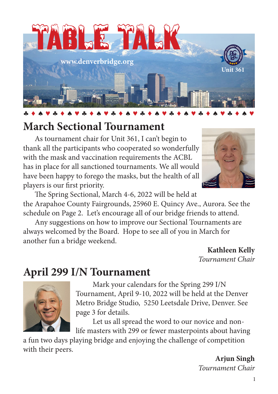

## **March Sectional Tournament**

As tournament chair for Unit 361, I can't begin to thank all the participants who cooperated so wonderfully with the mask and vaccination requirements the ACBL has in place for all sanctioned tournaments. We all would have been happy to forego the masks, but the health of all players is our first priority.



The Spring Sectional, March 4-6, 2022 will be held at the Arapahoe County Fairgrounds, 25960 E. Quincy Ave., Aurora. See the schedule on Page 2. Let's encourage all of our bridge friends to attend.

Any suggestions on how to improve our Sectional Tournaments are always welcomed by the Board. Hope to see all of you in March for another fun a bridge weekend.

> **Kathleen Kelly** *Tournament Chair*

## **April 299 I/N Tournament**



Mark your calendars for the Spring 299 I/N Tournament, April 9-10, 2022 will be held at the Denver Metro Bridge Studio, 5250 Leetsdale Drive, Denver. See page 3 for details.

Let us all spread the word to our novice and nonlife masters with 299 or fewer masterpoints about having

a fun two days playing bridge and enjoying the challenge of competition with their peers.

> **Arjun Singh** *Tournament Chair*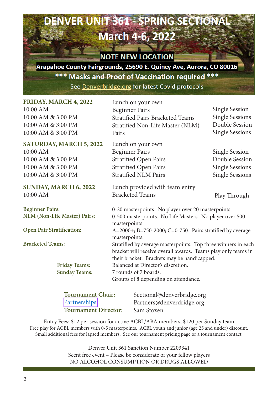# **March 4-6, 2022**

ENVER UNIT 361 - SPRING SECTION

### **NOTE NEW LOCATION**

Arapahoe County Fairgrounds, 25690 E. Quincy Ave, Aurora, CO 80016 \*\*\* Masks and Proof of Vaccination required \*\*\* See Denverbridge.org for latest Covid protocols

| <b>FRIDAY, MARCH 4, 2022</b>                                  | Lunch on your own                                                             |                        |  |  |  |
|---------------------------------------------------------------|-------------------------------------------------------------------------------|------------------------|--|--|--|
| $10:00$ AM                                                    | <b>Beginner Pairs</b>                                                         | Single Session         |  |  |  |
| 10:00 AM & 3:00 PM                                            | <b>Stratified Pairs Bracketed Teams</b>                                       | Single Sessions        |  |  |  |
| 10:00 AM & 3:00 PM                                            | Stratified Non-Life Master (NLM)                                              | Double Session         |  |  |  |
| 10:00 AM & 3:00 PM                                            | Pairs                                                                         | <b>Single Sessions</b> |  |  |  |
| <b>SATURDAY, MARCH 5, 2022</b>                                | Lunch on your own                                                             |                        |  |  |  |
| $10:00$ AM                                                    | <b>Beginner Pairs</b>                                                         | Single Session         |  |  |  |
| 10:00 AM & 3:00 PM                                            | Stratified Open Pairs                                                         | Double Session         |  |  |  |
| 10:00 AM & 3:00 PM                                            | Stratified Open Pairs                                                         | Single Sessions        |  |  |  |
| 10:00 AM & 3:00 PM                                            | <b>Stratified NLM Pairs</b>                                                   | <b>Single Sessions</b> |  |  |  |
|                                                               |                                                                               |                        |  |  |  |
| SUNDAY, MARCH 6, 2022                                         | Lunch provided with team entry                                                |                        |  |  |  |
| $10:00$ AM                                                    | <b>Bracketed Teams</b>                                                        | Play Through           |  |  |  |
| <b>Beginner Pairs:</b>                                        | 0-20 masterpoints. No player over 20 masterpoints.                            |                        |  |  |  |
| <b>NLM</b> (Non-Life Master) Pairs:                           | 0-500 masterpoints. No Life Masters. No player over 500<br>masterpoints.      |                        |  |  |  |
| Open Pair Stratification:                                     | $A=2000+$ ; B=750-2000; C=0-750. Pairs stratified by average<br>masterpoints. |                        |  |  |  |
| <b>Bracketed Teams:</b>                                       | Stratified by average masterpoints. Top three winners in each                 |                        |  |  |  |
| bracket will receive overall awards. Teams play only teams in |                                                                               |                        |  |  |  |
|                                                               | their bracket. Brackets may be handicapped.                                   |                        |  |  |  |
| <b>Friday Teams:</b>                                          | Balanced at Director's discretion.                                            |                        |  |  |  |
| <b>Sunday Teams:</b>                                          | 7 rounds of 7 boards.                                                         |                        |  |  |  |
|                                                               | Groups of 8 depending on attendance.                                          |                        |  |  |  |
|                                                               |                                                                               |                        |  |  |  |
| Tournament Chair.<br>Soctional@donyarbridge.org               |                                                                               |                        |  |  |  |

| <b>Tournament Chair:</b>    | Sectional@denverbridge.org |
|-----------------------------|----------------------------|
| Partnerships:               | Partners@denverdridge.org  |
| <b>Tournament Director:</b> | Sam Stoxen                 |

Entry Fees: \$12 per session for active ACBL/ABA members, \$120 per Sunday team Free play for ACBL members with 0-5 masterpoints. ACBL youth and junior (age 25 and under) discount. Small additional fees for lapsed members. See our tournament pricing page or a tournament contact.

> Denver Unit 361 Sanction Number 2203341 Scent free event – Please be considerate of your fellow players NO ALCOHOL CONSUMPTION OR DRUGS ALLOWED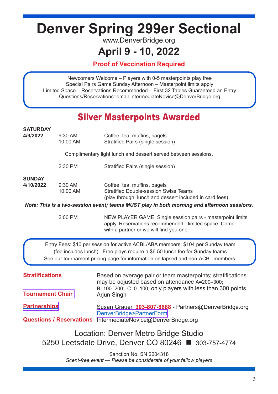# **Denver Spring 299er Sectional**

www.DenverBridge.org

### **April 9 - 10, 2022**

**Proof of Vaccination Required**

Newcomers Welcome – Players with 0-5 masterpoints play free Special Pairs Game Sunday Afternoon – Masterpoint limits apply Limited Space – Reservations Recommended – First 32 Tables Guaranteed an Entry Questions/Reservations: email [IntermediateNovice@DenverBridge.org](mailto:IntermediateNovice@DenverBridge.org)

### Silver Masterpoints Awarded

| <b>SATURDAY</b><br>4/9/2022                                                                                                                                                                                                                         | 9:30 AM  | Coffee, tea, muffins, bagels                                                                                                                                                               |  |  |  |  |
|-----------------------------------------------------------------------------------------------------------------------------------------------------------------------------------------------------------------------------------------------------|----------|--------------------------------------------------------------------------------------------------------------------------------------------------------------------------------------------|--|--|--|--|
|                                                                                                                                                                                                                                                     | 10:00 AM | Stratified Pairs (single session)                                                                                                                                                          |  |  |  |  |
| Complimentary light lunch and dessert served between sessions.                                                                                                                                                                                      |          |                                                                                                                                                                                            |  |  |  |  |
|                                                                                                                                                                                                                                                     | 2:30 PM  | Stratified Pairs (single session)                                                                                                                                                          |  |  |  |  |
| <b>SUNDAY</b>                                                                                                                                                                                                                                       |          |                                                                                                                                                                                            |  |  |  |  |
| 4/10/2022<br>$9:30$ AM<br>10:00 AM                                                                                                                                                                                                                  |          | Coffee, tea, muffins, bagels<br><b>Stratified Double-session Swiss Teams</b><br>(play through, lunch and dessert included in card fees)                                                    |  |  |  |  |
|                                                                                                                                                                                                                                                     |          | Note: This is a two-session event; teams MUST play in both morning and afternoon sessions.                                                                                                 |  |  |  |  |
|                                                                                                                                                                                                                                                     | 2:00 PM  | NEW PLAYER GAME: Single session pairs - masterpoint limits<br>apply. Reservations recommended - limited space. Come<br>with a partner or we will find you one.                             |  |  |  |  |
| Entry Fees: \$10 per session for active ACBL/ABA members; \$104 per Sunday team<br>(fee includes lunch). Free plays require a \$6.50 lunch fee for Sunday teams.<br>See our tournament pricing page for information on lapsed and non-ACBL members. |          |                                                                                                                                                                                            |  |  |  |  |
| <b>Stratifications</b><br><b>Tournament Chair</b>                                                                                                                                                                                                   |          | Based on average pair or team masterpoints; stratifications<br>may be adjusted based on attendance A=200-300;<br>B=100-200; C=0-100; only players with less than 300 points<br>Arjun Singh |  |  |  |  |
| <b>Partnerships</b><br><b>Questions / Reservations</b>                                                                                                                                                                                              |          | Susan Grauer, 303-807-8688 - Partners@DenverBridge.org<br>DenverBridge>PartnerForm<br>IntermediateNovice@DenverBridge.org                                                                  |  |  |  |  |
| Location: Denver Metro Bridge Studio<br>5250 Leetsdale Drive, Denver CO 80246 ■ 303-757-4774                                                                                                                                                        |          |                                                                                                                                                                                            |  |  |  |  |

Sanction No. SN 2204318 *Scent-free event — Please be considerate of your fellow players*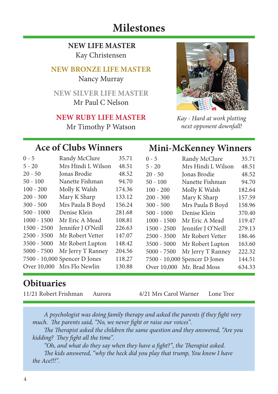### **Milestones**

**NEW LIFE MASTER** Kay Christensen

#### **NEW BRONZE LIFE MASTER**

Nancy Murray

**NEW SILVER LIFE MASTER** Mr Paul C Nelson

#### **NEW RUBY LIFE MASTER**

Mr Timothy P Watson



*Kay - Hard at work plotting next opponent downfall!*

**Mini-McKenney Winners**

### **Ace of Clubs Winners**

| $0 - 5$       | Randy McClure                 | 35.71  | $0 - 5$       | Randy McClure                 | 35.71  |
|---------------|-------------------------------|--------|---------------|-------------------------------|--------|
| $5 - 20$      | Mrs Hindi L Wilson            | 48.51  | $5 - 20$      | Mrs Hindi L Wilson            | 48.51  |
| $20 - 50$     | Jonas Brodie                  | 48.52  | $20 - 50$     | Jonas Brodie                  | 48.52  |
| $50 - 100$    | Nanette Fishman               | 94.70  | $50 - 100$    | Nanette Fishman               | 94.70  |
| $100 - 200$   | Molly K Walsh                 | 174.36 | $100 - 200$   | Molly K Walsh                 | 182.64 |
| $200 - 300$   | Mary K Sharp                  | 133.12 | $200 - 300$   | Mary K Sharp                  | 157.59 |
| $300 - 500$   | Mrs Paula B Boyd              | 156.24 | $300 - 500$   | Mrs Paula B Boyd              | 158.96 |
| $500 - 1000$  | Denise Klein                  | 281.68 | $500 - 1000$  | Denise Klein                  | 370.40 |
| $1000 - 1500$ | Mr Eric A Mead                | 108.81 | $1000 - 1500$ | Mr Eric A Mead                | 119.47 |
| $1500 - 2500$ | Jennifer J O'Neill            | 226.63 | $1500 - 2500$ | Jennifer J O'Neill            | 279.13 |
| 2500 - 3500   | Mr Robert Vetter              | 147.07 | $2500 - 3500$ | Mr Robert Vetter              | 186.46 |
| 3500 - 5000   | Mr Robert Lupton              | 148.42 | 3500 - 5000   | Mr Robert Lupton              | 163.60 |
| $5000 - 7500$ | Mr Jerry T Ranney             | 204.56 | $5000 - 7500$ | Mr Jerry T Ranney             | 222.32 |
|               | 7500 - 10,000 Spencer D Jones | 118.27 |               | 7500 - 10,000 Spencer D Jones | 144.51 |
|               | Over 10,000 Mrs Flo Newlin    | 130.88 |               | Over 10,000 Mr. Brad Moss     | 634.33 |
|               |                               |        |               |                               |        |

### **Obituaries**

11/21 Robert Frishman Aurora 4/21 Mrs Carol Warner Lone Tree

*A psychologist was doing family therapy and asked the parents if they fight very much. The parents said, "No, we never fight or raise our voices".* 

*The Therapist asked the children the same question and they answered, "Are you kidding? They fight all the time".* 

*"Oh, and what do they say when they have a fight?", the Therapist asked. The kids answered, "why the heck did you play that trump, You know I have the Ace!!!".*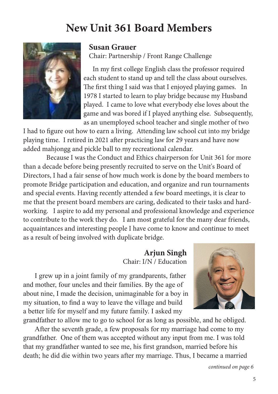## **New Unit 361 Board Members**



#### **Susan Grauer**

Chair: Partnership / Front Range Challenge

In my first college English class the professor required each student to stand up and tell the class about ourselves. The first thing I said was that I enjoyed playing games. In 1978 I started to learn to play bridge because my Husband played. I came to love what everybody else loves about the game and was bored if I played anything else. Subsequently, as an unemployed school teacher and single mother of two

I had to figure out how to earn a living. Attending law school cut into my bridge playing time. I retired in 2021 after practicing law for 29 years and have now added mahjongg and pickle ball to my recreational calendar.

Because I was the Conduct and Ethics chairperson for Unit 361 for more than a decade before being presently recruited to serve on the Unit's Board of Directors, I had a fair sense of how much work is done by the board members to promote Bridge participation and education, and organize and run tournaments and special events. Having recently attended a few board meetings, it is clear to me that the present board members are caring, dedicated to their tasks and hardworking. I aspire to add my personal and professional knowledge and experience to contribute to the work they do. I am most grateful for the many dear friends, acquaintances and interesting people I have come to know and continue to meet as a result of being involved with duplicate bridge.

#### **Arjun Singh** Chair: I/N / Education

I grew up in a joint family of my grandparents, father and mother, four uncles and their families. By the age of about nine, I made the decision, unimaginable for a boy in my situation, to find a way to leave the village and build a better life for myself and my future family. I asked my



grandfather to allow me to go to school for as long as possible, and he obliged. After the seventh grade, a few proposals for my marriage had come to my grandfather. One of them was accepted without any input from me. I was told that my grandfather wanted to see me, his first grandson, married before his death; he did die within two years after my marriage. Thus, I became a married

*continued on page 6*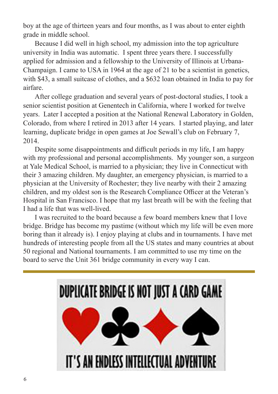boy at the age of thirteen years and four months, as I was about to enter eighth grade in middle school.

Because I did well in high school, my admission into the top agriculture university in India was automatic. I spent three years there. I successfully applied for admission and a fellowship to the University of Illinois at Urbana-Champaign. I came to USA in 1964 at the age of 21 to be a scientist in genetics, with \$43, a small suitcase of clothes, and a \$632 loan obtained in India to pay for airfare.

After college graduation and several years of post-doctoral studies, I took a senior scientist position at Genentech in California, where I worked for twelve years. Later I accepted a position at the National Renewal Laboratory in Golden, Colorado, from where I retired in 2013 after 14 years. I started playing, and later learning, duplicate bridge in open games at Joe Sewall's club on February 7, 2014.

Despite some disappointments and difficult periods in my life, I am happy with my professional and personal accomplishments. My younger son, a surgeon at Yale Medical School, is married to a physician; they live in Connecticut with their 3 amazing children. My daughter, an emergency physician, is married to a physician at the University of Rochester; they live nearby with their 2 amazing children, and my oldest son is the Research Compliance Officer at the Veteran's Hospital in San Francisco. I hope that my last breath will be with the feeling that I had a life that was well-lived.

I was recruited to the board because a few board members knew that I love bridge. Bridge has become my pastime (without which my life will be even more boring than it already is). I enjoy playing at clubs and in tournaments. I have met hundreds of interesting people from all the US states and many countries at about 50 regional and National tournaments. I am committed to use my time on the board to serve the Unit 361 bridge community in every way I can.

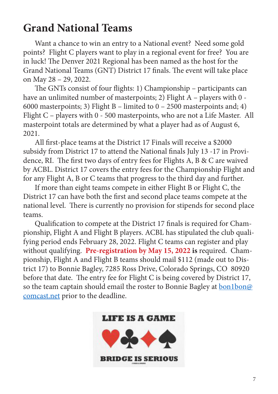## **Grand National Teams**

Want a chance to win an entry to a National event? Need some gold points? Flight C players want to play in a regional event for free? You are in luck! The Denver 2021 Regional has been named as the host for the Grand National Teams (GNT) District 17 finals. The event will take place on May 28 – 29, 2022.

The GNTs consist of four flights: 1) Championship – participants can have an unlimited number of masterpoints; 2) Flight A - players with 0 -6000 masterpoints; 3) Flight B – limited to  $0 - 2500$  masterpoints and; 4) Flight C – players with 0 - 500 masterpoints, who are not a Life Master. All masterpoint totals are determined by what a player had as of August 6, 2021.

All first-place teams at the District 17 Finals will receive a \$2000 subsidy from District 17 to attend the National finals July 13 -17 in Providence, RI. The first two days of entry fees for Flights A, B & C are waived by ACBL. District 17 covers the entry fees for the Championship Flight and for any Flight A, B or C teams that progress to the third day and further.

If more than eight teams compete in either Flight B or Flight C, the District 17 can have both the first and second place teams compete at the national level. There is currently no provision for stipends for second place teams.

Qualification to compete at the District 17 finals is required for Championship, Flight A and Flight B players. ACBL has stipulated the club qualifying period ends February 28, 2022. Flight C teams can register and play without qualifying. **Pre-registration by May 15, 2022 is** required. Championship, Flight A and Flight B teams should mail \$112 (made out to District 17) to Bonnie Bagley, 7285 Ross Drive, Colorado Springs, CO 80920 before that date. The entry fee for Flight C is being covered by District 17, so the team captain should email the roster to Bonnie Bagley at **bon1bon@** comcast.net prior to the deadline.